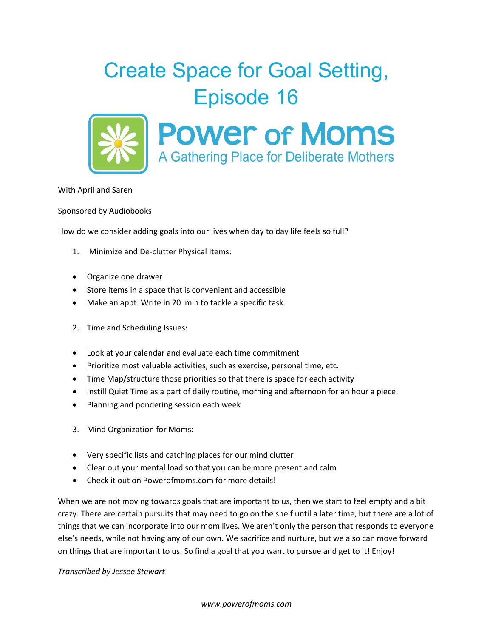



With April and Saren

Sponsored by Audiobooks

How do we consider adding goals into our lives when day to day life feels so full?

- 1. Minimize and De-clutter Physical Items:
- Organize one drawer
- Store items in a space that is convenient and accessible
- Make an appt. Write in 20 min to tackle a specific task
- 2. Time and Scheduling Issues:
- Look at your calendar and evaluate each time commitment
- Prioritize most valuable activities, such as exercise, personal time, etc.
- Time Map/structure those priorities so that there is space for each activity
- Instill Quiet Time as a part of daily routine, morning and afternoon for an hour a piece.
- Planning and pondering session each week
- 3. Mind Organization for Moms:
- Very specific lists and catching places for our mind clutter
- Clear out your mental load so that you can be more present and calm
- Check it out on Powerofmoms.com for more details!

When we are not moving towards goals that are important to us, then we start to feel empty and a bit crazy. There are certain pursuits that may need to go on the shelf until a later time, but there are a lot of things that we can incorporate into our mom lives. We aren't only the person that responds to everyone else's needs, while not having any of our own. We sacrifice and nurture, but we also can move forward on things that are important to us. So find a goal that you want to pursue and get to it! Enjoy!

*Transcribed by Jessee Stewart*